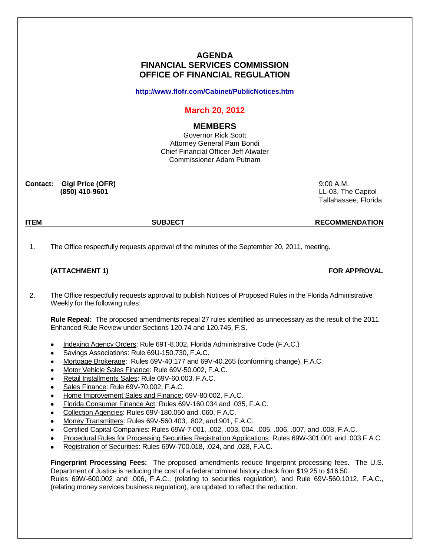# **AGENDA FINANCIAL SERVICES COMMISSION OFFICE OF FINANCIAL REGULATION**

**<http://www.flofr.com/Cabinet/PublicNotices.htm>**

# **March 20, 2012**

## **MEMBERS**

Governor Rick Scott Attorney General Pam Bondi Chief Financial Officer Jeff Atwater Commissioner Adam Putnam

**Contact: Gigi Price (OFR)** 9:00 A.M.

 **(850) 410-9601** LL-03, The Capitol Tallahassee, Florida

**ITEM SUBJECT RECOMMENDATION**

1. The Office respectfully requests approval of the minutes of the September 20, 2011, meeting.

## **(ATTACHMENT 1) FOR APPROVAL**

2. The Office respectfully requests approval to publish Notices of Proposed Rules in the Florida Administrative Weekly for the following rules:

**Rule Repeal:** The proposed amendments repeal 27 rules identified as unnecessary as the result of the 2011 Enhanced Rule Review under Sections 120.74 and 120.745, F.S.

- Indexing Agency Orders: Rule 69T-8.002, Florida Administrative Code (F.A.C.)
- Savings Associations: Rule 69U-150.730, F.A.C.  $\bullet$
- Mortgage Brokerage: Rules 69V-40.177 and 69V-40.265 (conforming change), F.A.C.
- Motor Vehicle Sales Finance: Rule 69V-50.002, F.A.C.
- Retail Installments Sales: Rule 69V-60.003, F.A.C.
- Sales Finance: Rule 69V-70.002, F.A.C.
- Home Improvement Sales and Finance: 69V-80.002, F.A.C.
- Florida Consumer Finance Act: Rules 69V-160.034 and .035, F.A.C.
- Collection Agencies: Rules 69V-180.050 and .060, F.A.C.  $\bullet$
- Money Transmitters: Rules 69V-560.403, .802, and.901, F.A.C.
- Certified Capital Companies: Rules 69W-7.001, .002, .003, 004, .005, .006, .007, and .008, F.A.C.
- Procedural Rules for Processing Securities Registration Applications: Rules 69W-301.001 and .003,F.A.C.
- Registration of Securities: Rules 69W-700.018, .024, and .028, F.A.C.

**Fingerprint Processing Fees:** The proposed amendments reduce fingerprint processing fees. The U.S. Department of Justice is reducing the cost of a federal criminal history check from \$19.25 to \$16.50. Rules 69W-600.002 and .006, F.A.C., (relating to securities regulation), and Rule 69V-560.1012, F.A.C., (relating money services business regulation), are updated to reflect the reduction.